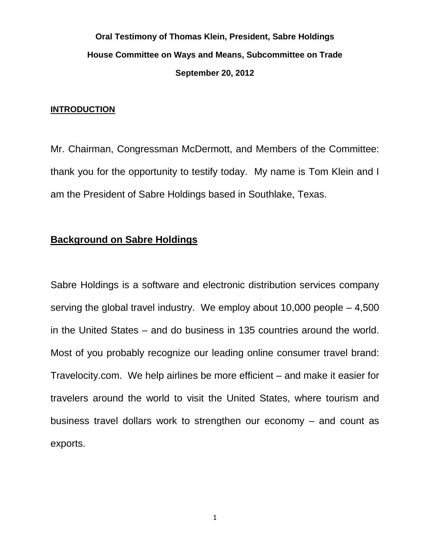# **Oral Testimony of Thomas Klein, President, Sabre Holdings House Committee on Ways and Means, Subcommittee on Trade September 20, 2012**

#### **INTRODUCTION**

Mr. Chairman, Congressman McDermott, and Members of the Committee: thank you for the opportunity to testify today. My name is Tom Klein and I am the President of Sabre Holdings based in Southlake, Texas.

# **Background on Sabre Holdings**

Sabre Holdings is a software and electronic distribution services company serving the global travel industry. We employ about 10,000 people – 4,500 in the United States – and do business in 135 countries around the world. Most of you probably recognize our leading online consumer travel brand: Travelocity.com. We help airlines be more efficient – and make it easier for travelers around the world to visit the United States, where tourism and business travel dollars work to strengthen our economy – and count as exports.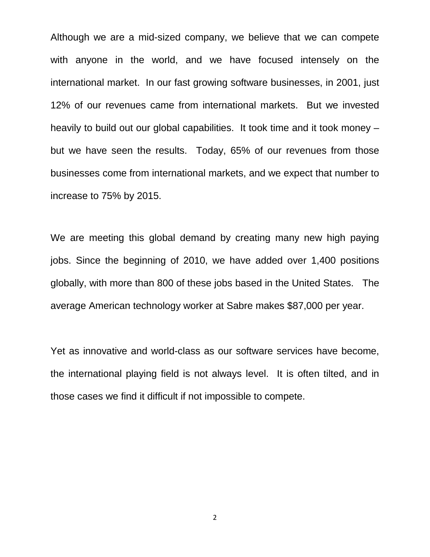Although we are a mid-sized company, we believe that we can compete with anyone in the world, and we have focused intensely on the international market. In our fast growing software businesses, in 2001, just 12% of our revenues came from international markets. But we invested heavily to build out our global capabilities. It took time and it took money – but we have seen the results. Today, 65% of our revenues from those businesses come from international markets, and we expect that number to increase to 75% by 2015.

We are meeting this global demand by creating many new high paying jobs. Since the beginning of 2010, we have added over 1,400 positions globally, with more than 800 of these jobs based in the United States. The average American technology worker at Sabre makes \$87,000 per year.

Yet as innovative and world-class as our software services have become, the international playing field is not always level. It is often tilted, and in those cases we find it difficult if not impossible to compete.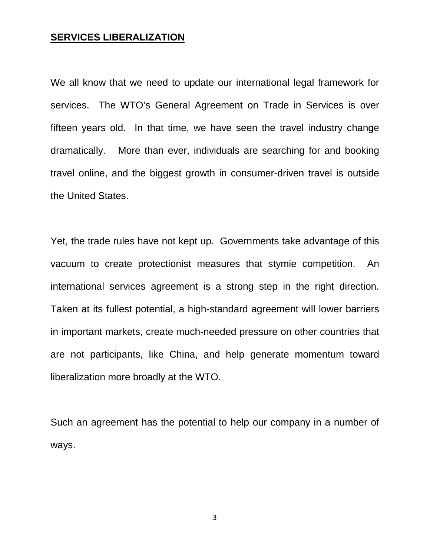## **SERVICES LIBERALIZATION**

We all know that we need to update our international legal framework for services. The WTO's General Agreement on Trade in Services is over fifteen years old. In that time, we have seen the travel industry change dramatically. More than ever, individuals are searching for and booking travel online, and the biggest growth in consumer-driven travel is outside the United States.

Yet, the trade rules have not kept up. Governments take advantage of this vacuum to create protectionist measures that stymie competition. An international services agreement is a strong step in the right direction. Taken at its fullest potential, a high-standard agreement will lower barriers in important markets, create much-needed pressure on other countries that are not participants, like China, and help generate momentum toward liberalization more broadly at the WTO.

Such an agreement has the potential to help our company in a number of ways.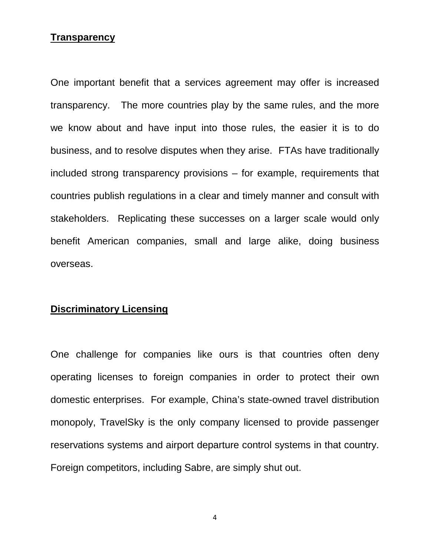#### **Transparency**

One important benefit that a services agreement may offer is increased transparency. The more countries play by the same rules, and the more we know about and have input into those rules, the easier it is to do business, and to resolve disputes when they arise. FTAs have traditionally included strong transparency provisions – for example, requirements that countries publish regulations in a clear and timely manner and consult with stakeholders. Replicating these successes on a larger scale would only benefit American companies, small and large alike, doing business overseas.

## **Discriminatory Licensing**

One challenge for companies like ours is that countries often deny operating licenses to foreign companies in order to protect their own domestic enterprises. For example, China's state-owned travel distribution monopoly, TravelSky is the only company licensed to provide passenger reservations systems and airport departure control systems in that country. Foreign competitors, including Sabre, are simply shut out.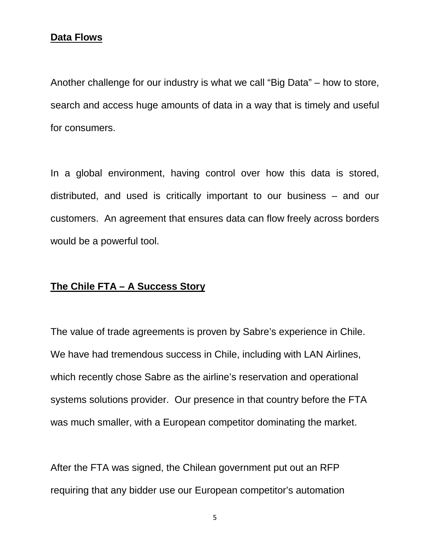## **Data Flows**

Another challenge for our industry is what we call "Big Data" – how to store, search and access huge amounts of data in a way that is timely and useful for consumers.

In a global environment, having control over how this data is stored, distributed, and used is critically important to our business – and our customers. An agreement that ensures data can flow freely across borders would be a powerful tool.

## **The Chile FTA – A Success Story**

The value of trade agreements is proven by Sabre's experience in Chile. We have had tremendous success in Chile, including with LAN Airlines, which recently chose Sabre as the airline's reservation and operational systems solutions provider. Our presence in that country before the FTA was much smaller, with a European competitor dominating the market.

After the FTA was signed, the Chilean government put out an RFP requiring that any bidder use our European competitor's automation